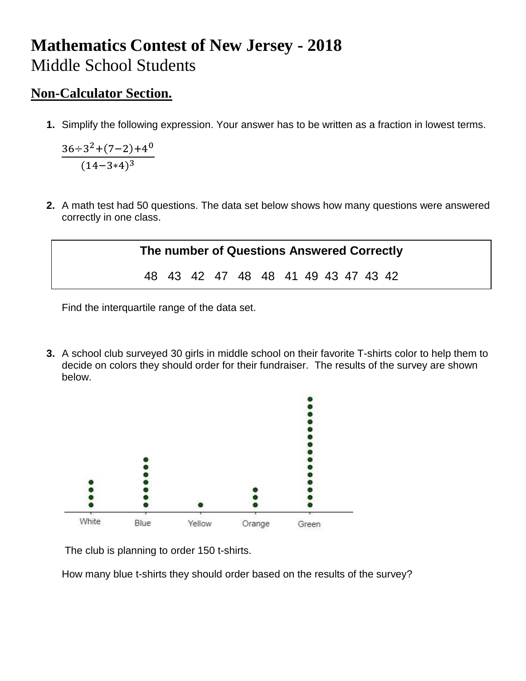## **Mathematics Contest of New Jersey - 2018** Middle School Students

## **Non-Calculator Section.**

**1.** Simplify the following expression. Your answer has to be written as a fraction in lowest terms.

$$
\frac{36 \div 3^2 + (7 - 2) + 4^0}{(14 - 3 \times 4)^3}
$$

**2.** A math test had 50 questions. The data set below shows how many questions were answered correctly in one class.



Find the interquartile range of the data set.

**3.** A school club surveyed 30 girls in middle school on their favorite T-shirts color to help them to decide on colors they should order for their fundraiser. The results of the survey are shown below.



The club is planning to order 150 t-shirts.

How many blue t-shirts they should order based on the results of the survey?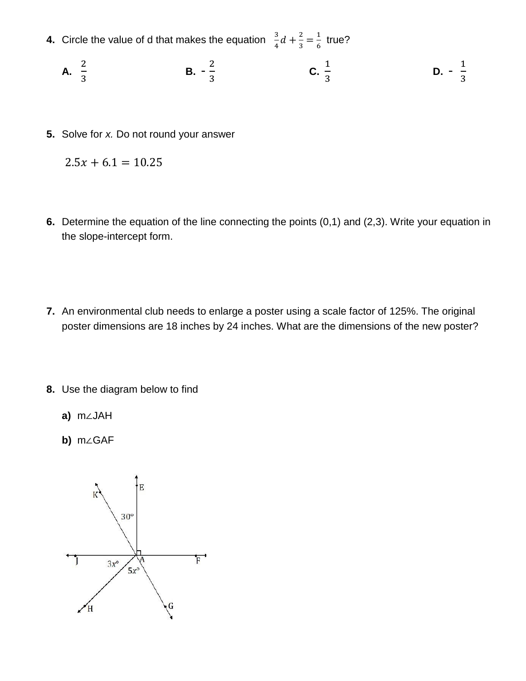- **4.** Circle the value of d that makes the equation  $\frac{3}{4}d + \frac{2}{3}$  $\frac{2}{3} = \frac{1}{6}$  $rac{1}{6}$  true?
	- **A.** 2 3 **B.** -  $\frac{2}{3}$  $\frac{2}{3}$  **C.** 1 3 **D.** -  $\frac{1}{2}$  $rac{1}{3}$
- **5.** Solve for *x.* Do not round your answer

$$
2.5x + 6.1 = 10.25
$$

- **6.** Determine the equation of the line connecting the points (0,1) and (2,3). Write your equation in the slope-intercept form.
- **7.** An environmental club needs to enlarge a poster using a scale factor of 125%. The original poster dimensions are 18 inches by 24 inches. What are the dimensions of the new poster?
- **8.** Use the diagram below to find
	- **a)** m∠JAH
	- **b)** m∠GAF

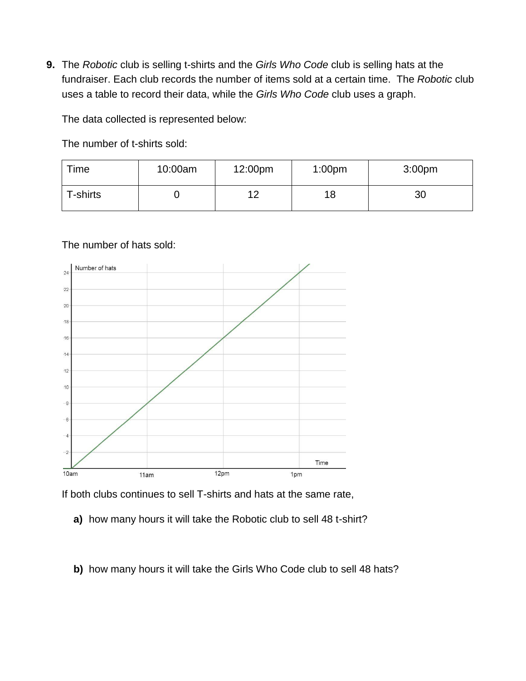**9.** The *Robotic* club is selling t-shirts and the *Girls Who Code* club is selling hats at the fundraiser. Each club records the number of items sold at a certain time. The *Robotic* club uses a table to record their data, while the *Girls Who Code* club uses a graph.

The data collected is represented below:

The number of t-shirts sold:

| Time            | 10:00am | 12:00pm | 1:00 <sub>pm</sub> | 3:00 <sub>pm</sub> |
|-----------------|---------|---------|--------------------|--------------------|
| <b>T-shirts</b> |         | 1 ຕ     | 18                 | 30                 |

## The number of hats sold:



If both clubs continues to sell T-shirts and hats at the same rate,

- **a)** how many hours it will take the Robotic club to sell 48 t-shirt?
- **b)** how many hours it will take the Girls Who Code club to sell 48 hats?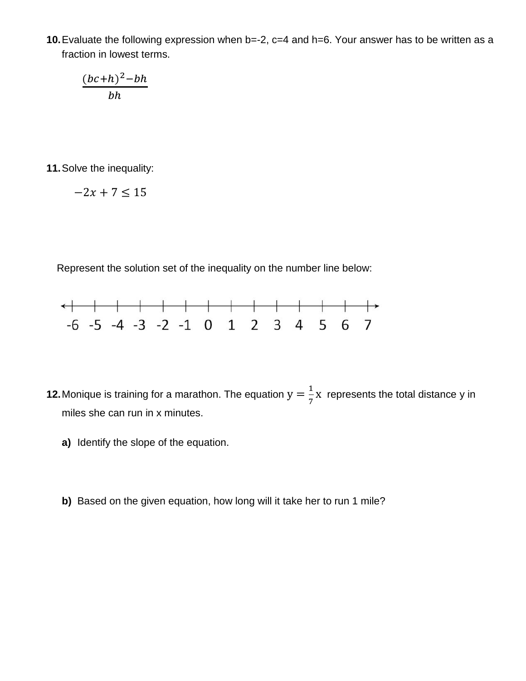**10.**Evaluate the following expression when b=-2, c=4 and h=6. Your answer has to be written as a fraction in lowest terms.

$$
\frac{(bc+h)^2-bh}{bh}
$$

**11.**Solve the inequality:

$$
-2x + 7 \le 15
$$

Represent the solution set of the inequality on the number line below:



- **12.** Monique is training for a marathon. The equation  $y = \frac{1}{7}$  $\frac{1}{7}$  x represents the total distance y in miles she can run in x minutes.
	- **a)** Identify the slope of the equation.
	- **b)** Based on the given equation, how long will it take her to run 1 mile?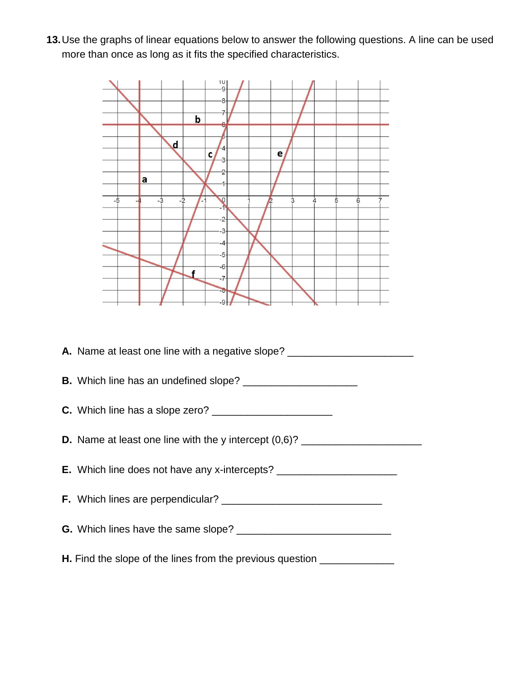**13.**Use the graphs of linear equations below to answer the following questions. A line can be used more than once as long as it fits the specified characteristics.



**A.** Name at least one line with a negative slope? \_\_\_\_\_\_\_\_\_\_\_\_\_\_\_\_\_\_\_\_\_\_\_\_\_\_\_\_\_\_ **B.** Which line has an undefined slope? \_\_\_\_\_\_\_\_\_\_\_\_\_\_\_\_\_\_\_\_ **C.** Which line has a slope zero? \_\_\_\_\_\_\_\_\_\_\_\_\_\_\_\_\_\_\_\_\_ **D.** Name at least one line with the y intercept  $(0,6)$ ? \_\_\_\_\_\_\_\_\_\_\_\_\_\_\_\_\_\_\_\_\_\_\_ **E.** Which line does not have any x-intercepts? \_\_\_\_\_\_\_\_\_\_\_\_\_\_\_\_\_\_\_\_\_\_\_\_\_\_\_\_\_\_\_\_\_ **F.** Which lines are perpendicular? \_\_\_\_\_\_\_\_\_\_\_\_\_\_\_\_\_\_\_\_\_\_\_\_\_\_\_\_ **G.** Which lines have the same slope? \_\_\_\_\_\_\_\_\_\_\_\_\_\_\_\_\_\_\_\_\_\_\_\_\_\_\_ **H.** Find the slope of the lines from the previous question \_\_\_\_\_\_\_\_\_\_\_\_\_\_\_\_\_\_\_\_\_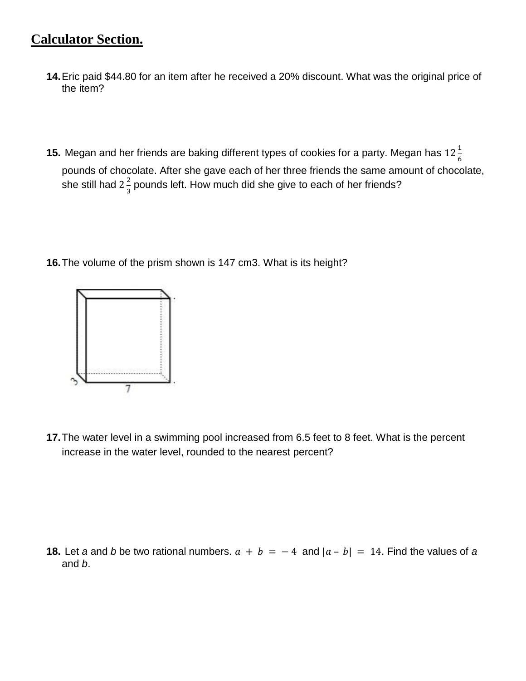## **Calculator Section.**

- **14.**Eric paid \$44.80 for an item after he received a 20% discount. What was the original price of the item?
- **15.** Megan and her friends are baking different types of cookies for a party. Megan has  $12\frac{1}{6}$ pounds of chocolate. After she gave each of her three friends the same amount of chocolate, she still had 2 $\frac{2}{3}$  $\frac{2}{3}$  pounds left. How much did she give to each of her friends?
- **16.**The volume of the prism shown is 147 cm3. What is its height?



**17.**The water level in a swimming pool increased from 6.5 feet to 8 feet. What is the percent increase in the water level, rounded to the nearest percent?

**18.** Let *a* and *b* be two rational numbers.  $a + b = -4$  and  $|a - b| = 14$ . Find the values of *a* and *b*.